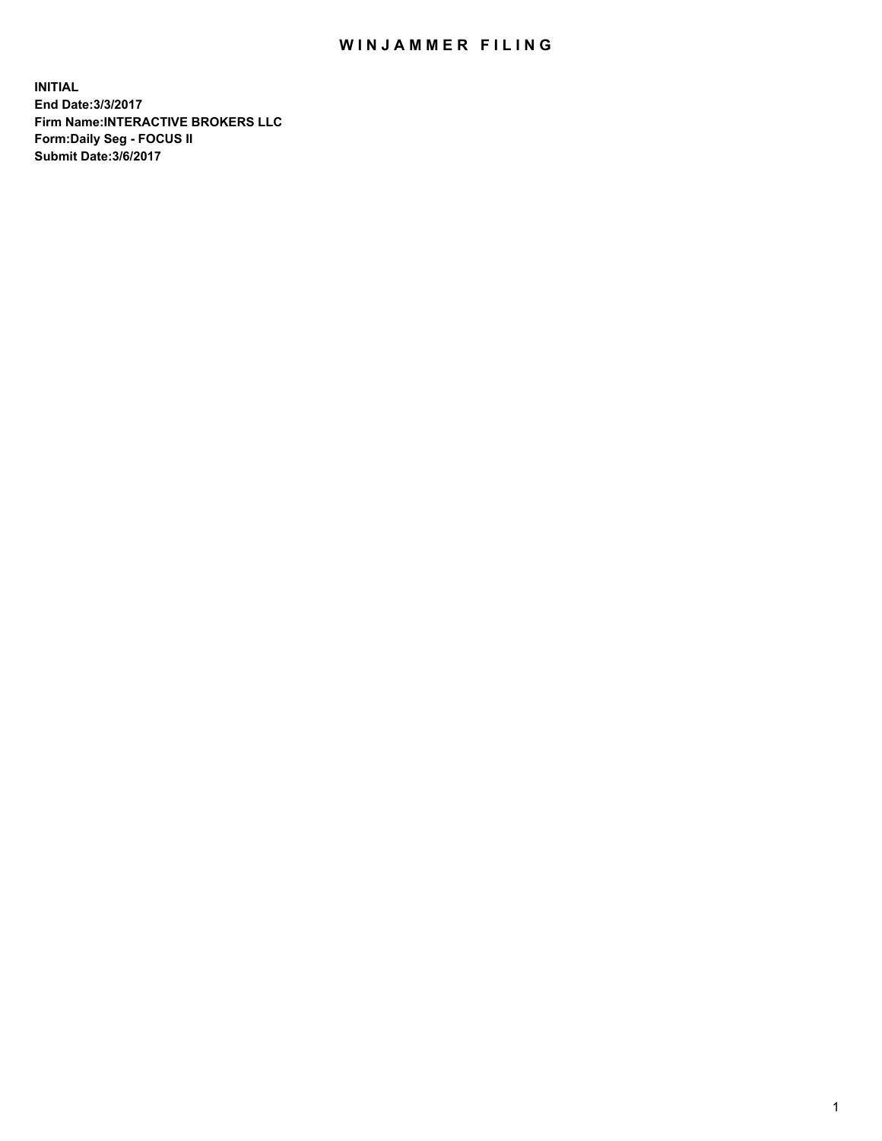## WIN JAMMER FILING

**INITIAL End Date:3/3/2017 Firm Name:INTERACTIVE BROKERS LLC Form:Daily Seg - FOCUS II Submit Date:3/6/2017**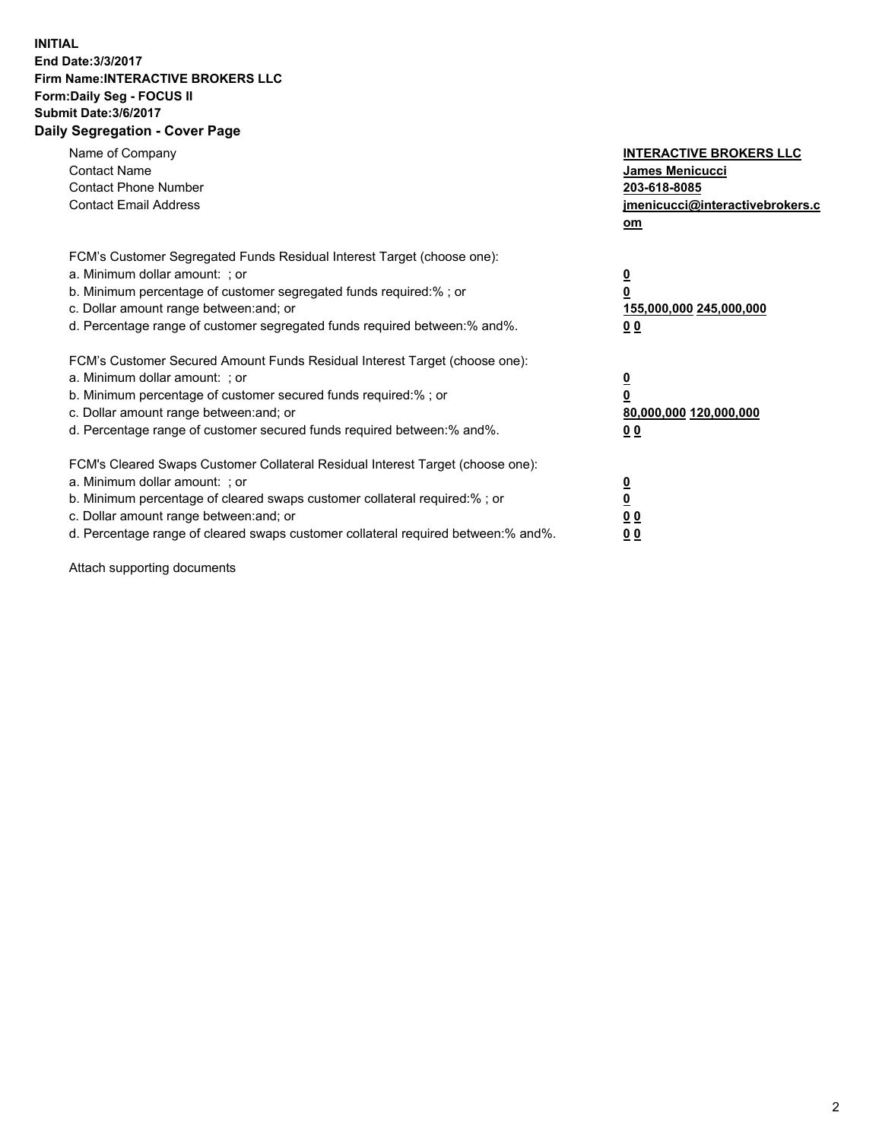## **INITIAL End Date:3/3/2017 Firm Name:INTERACTIVE BROKERS LLC Form:Daily Seg - FOCUS II Submit Date:3/6/2017 Daily Segregation - Cover Page**

| Name of Company<br><b>Contact Name</b><br><b>Contact Phone Number</b><br><b>Contact Email Address</b>                                                                                                                                                                                                                          | <b>INTERACTIVE BROKERS LLC</b><br>James Menicucci<br>203-618-8085<br>jmenicucci@interactivebrokers.c<br>om |
|--------------------------------------------------------------------------------------------------------------------------------------------------------------------------------------------------------------------------------------------------------------------------------------------------------------------------------|------------------------------------------------------------------------------------------------------------|
| FCM's Customer Segregated Funds Residual Interest Target (choose one):<br>a. Minimum dollar amount: ; or<br>b. Minimum percentage of customer segregated funds required:%; or<br>c. Dollar amount range between: and; or<br>d. Percentage range of customer segregated funds required between: % and %.                        | $\overline{\mathbf{0}}$<br>0<br>155,000,000 245,000,000<br>0 <sub>0</sub>                                  |
| FCM's Customer Secured Amount Funds Residual Interest Target (choose one):<br>a. Minimum dollar amount: ; or<br>b. Minimum percentage of customer secured funds required:%; or<br>c. Dollar amount range between: and; or<br>d. Percentage range of customer secured funds required between: % and %.                          | $\underline{\mathbf{0}}$<br>0<br>80,000,000 120,000,000<br>00                                              |
| FCM's Cleared Swaps Customer Collateral Residual Interest Target (choose one):<br>a. Minimum dollar amount: ; or<br>b. Minimum percentage of cleared swaps customer collateral required:% ; or<br>c. Dollar amount range between: and; or<br>d. Percentage range of cleared swaps customer collateral required between:% and%. | $\underline{\mathbf{0}}$<br>$\underline{\mathbf{0}}$<br>0 <sub>0</sub><br><u>00</u>                        |

Attach supporting documents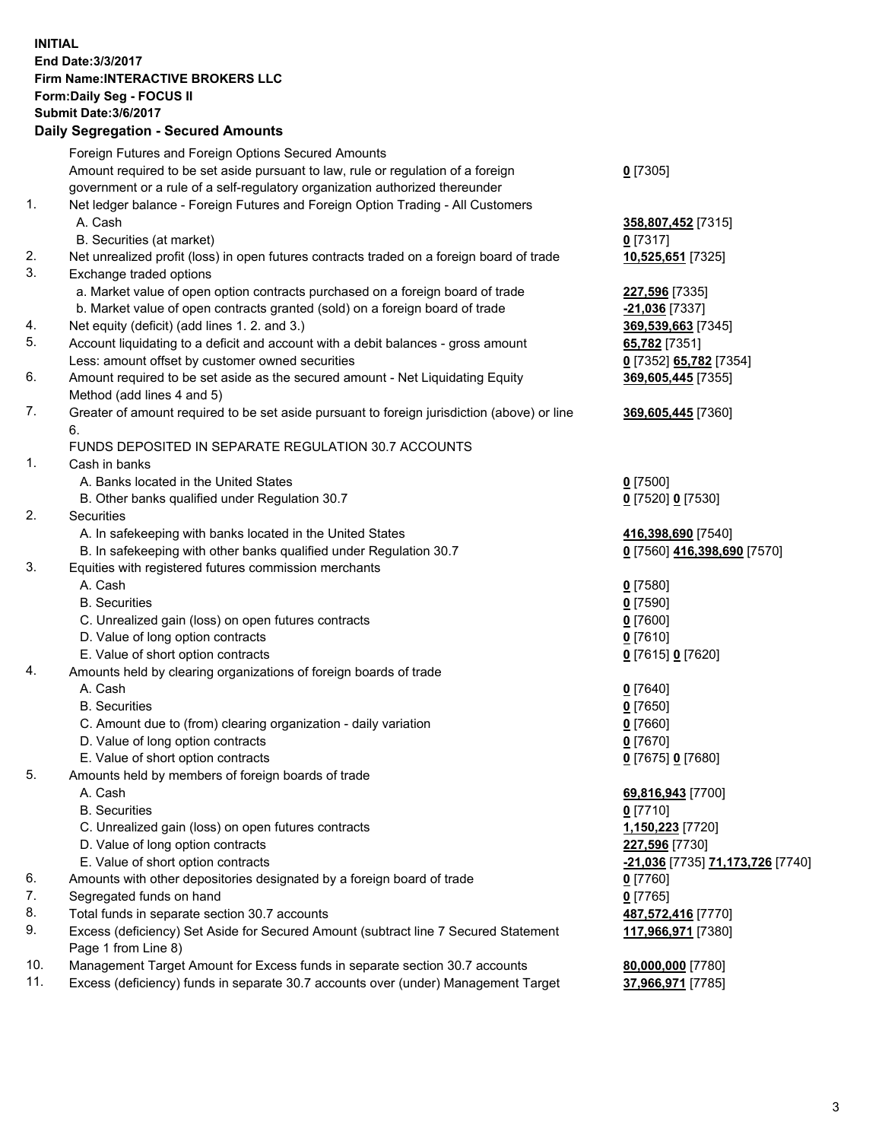## **INITIAL End Date:3/3/2017 Firm Name:INTERACTIVE BROKERS LLC Form:Daily Seg - FOCUS II Submit Date:3/6/2017 Daily Segregation - Secured Amounts**

|     | $-$ 0.000 0.000 0.000 0.000 0.000 0.000 0.000 0.000 0.000 0.000 0.000 0.000 0.000 0.000 0.000 0.000 0.000 0.000 0.000 0.000 0.000 0.000 0.000 0.000 0.000 0.000 0.000 0.000 0.000 0.000 0.000 0.000 0.000 0.000 0.000 0.000 0 |                                         |
|-----|-------------------------------------------------------------------------------------------------------------------------------------------------------------------------------------------------------------------------------|-----------------------------------------|
|     | Foreign Futures and Foreign Options Secured Amounts                                                                                                                                                                           |                                         |
|     | Amount required to be set aside pursuant to law, rule or regulation of a foreign                                                                                                                                              | $0$ [7305]                              |
|     | government or a rule of a self-regulatory organization authorized thereunder                                                                                                                                                  |                                         |
| 1.  | Net ledger balance - Foreign Futures and Foreign Option Trading - All Customers                                                                                                                                               |                                         |
|     | A. Cash                                                                                                                                                                                                                       | 358,807,452 [7315]                      |
|     | B. Securities (at market)                                                                                                                                                                                                     | $0$ [7317]                              |
| 2.  | Net unrealized profit (loss) in open futures contracts traded on a foreign board of trade                                                                                                                                     | 10,525,651 [7325]                       |
| 3.  | Exchange traded options                                                                                                                                                                                                       |                                         |
|     | a. Market value of open option contracts purchased on a foreign board of trade                                                                                                                                                | 227,596 [7335]                          |
|     | b. Market value of open contracts granted (sold) on a foreign board of trade                                                                                                                                                  | -21,036 [7337]                          |
| 4.  | Net equity (deficit) (add lines 1.2. and 3.)                                                                                                                                                                                  | 369,539,663 [7345]                      |
| 5.  | Account liquidating to a deficit and account with a debit balances - gross amount                                                                                                                                             | 65,782 [7351]                           |
|     | Less: amount offset by customer owned securities                                                                                                                                                                              | 0 [7352] 65,782 [7354]                  |
| 6.  | Amount required to be set aside as the secured amount - Net Liquidating Equity                                                                                                                                                | 369,605,445 [7355]                      |
|     | Method (add lines 4 and 5)                                                                                                                                                                                                    |                                         |
| 7.  | Greater of amount required to be set aside pursuant to foreign jurisdiction (above) or line                                                                                                                                   | 369,605,445 [7360]                      |
|     | 6.                                                                                                                                                                                                                            |                                         |
|     | FUNDS DEPOSITED IN SEPARATE REGULATION 30.7 ACCOUNTS                                                                                                                                                                          |                                         |
| 1.  | Cash in banks                                                                                                                                                                                                                 |                                         |
|     | A. Banks located in the United States                                                                                                                                                                                         | $0$ [7500]                              |
|     | B. Other banks qualified under Regulation 30.7                                                                                                                                                                                | 0 [7520] 0 [7530]                       |
| 2.  | Securities                                                                                                                                                                                                                    |                                         |
|     | A. In safekeeping with banks located in the United States                                                                                                                                                                     | 416,398,690 [7540]                      |
|     | B. In safekeeping with other banks qualified under Regulation 30.7                                                                                                                                                            | 0 [7560] 416,398,690 [7570]             |
| 3.  | Equities with registered futures commission merchants                                                                                                                                                                         |                                         |
|     | A. Cash                                                                                                                                                                                                                       | $0$ [7580]                              |
|     | <b>B.</b> Securities                                                                                                                                                                                                          | $0$ [7590]                              |
|     | C. Unrealized gain (loss) on open futures contracts                                                                                                                                                                           | $0$ [7600]                              |
|     | D. Value of long option contracts                                                                                                                                                                                             | $0$ [7610]                              |
|     | E. Value of short option contracts                                                                                                                                                                                            | 0 [7615] 0 [7620]                       |
| 4.  | Amounts held by clearing organizations of foreign boards of trade                                                                                                                                                             |                                         |
|     | A. Cash                                                                                                                                                                                                                       | $0$ [7640]                              |
|     | <b>B.</b> Securities                                                                                                                                                                                                          | $0$ [7650]                              |
|     | C. Amount due to (from) clearing organization - daily variation                                                                                                                                                               | $0$ [7660]                              |
|     | D. Value of long option contracts                                                                                                                                                                                             | $0$ [7670]                              |
|     | E. Value of short option contracts                                                                                                                                                                                            | 0 [7675] 0 [7680]                       |
| 5.  | Amounts held by members of foreign boards of trade                                                                                                                                                                            |                                         |
|     | A. Cash                                                                                                                                                                                                                       | 69,816,943 [7700]                       |
|     | <b>B.</b> Securities                                                                                                                                                                                                          | $0$ [7710]                              |
|     | C. Unrealized gain (loss) on open futures contracts                                                                                                                                                                           | 1,150,223 [7720]                        |
|     | D. Value of long option contracts                                                                                                                                                                                             | 227,596 [7730]                          |
|     | E. Value of short option contracts                                                                                                                                                                                            | <u>-21,036</u> [7735] 71,173,726 [7740] |
| 6.  | Amounts with other depositories designated by a foreign board of trade                                                                                                                                                        | $0$ [7760]                              |
| 7.  | Segregated funds on hand                                                                                                                                                                                                      | $0$ [7765]                              |
| 8.  | Total funds in separate section 30.7 accounts                                                                                                                                                                                 | 487,572,416 [7770]                      |
| 9.  | Excess (deficiency) Set Aside for Secured Amount (subtract line 7 Secured Statement<br>Page 1 from Line 8)                                                                                                                    | 117,966,971 [7380]                      |
| 10. | Management Target Amount for Excess funds in separate section 30.7 accounts                                                                                                                                                   | 80,000,000 [7780]                       |
| 11. | Excess (deficiency) funds in separate 30.7 accounts over (under) Management Target                                                                                                                                            | 37,966,971 [7785]                       |
|     |                                                                                                                                                                                                                               |                                         |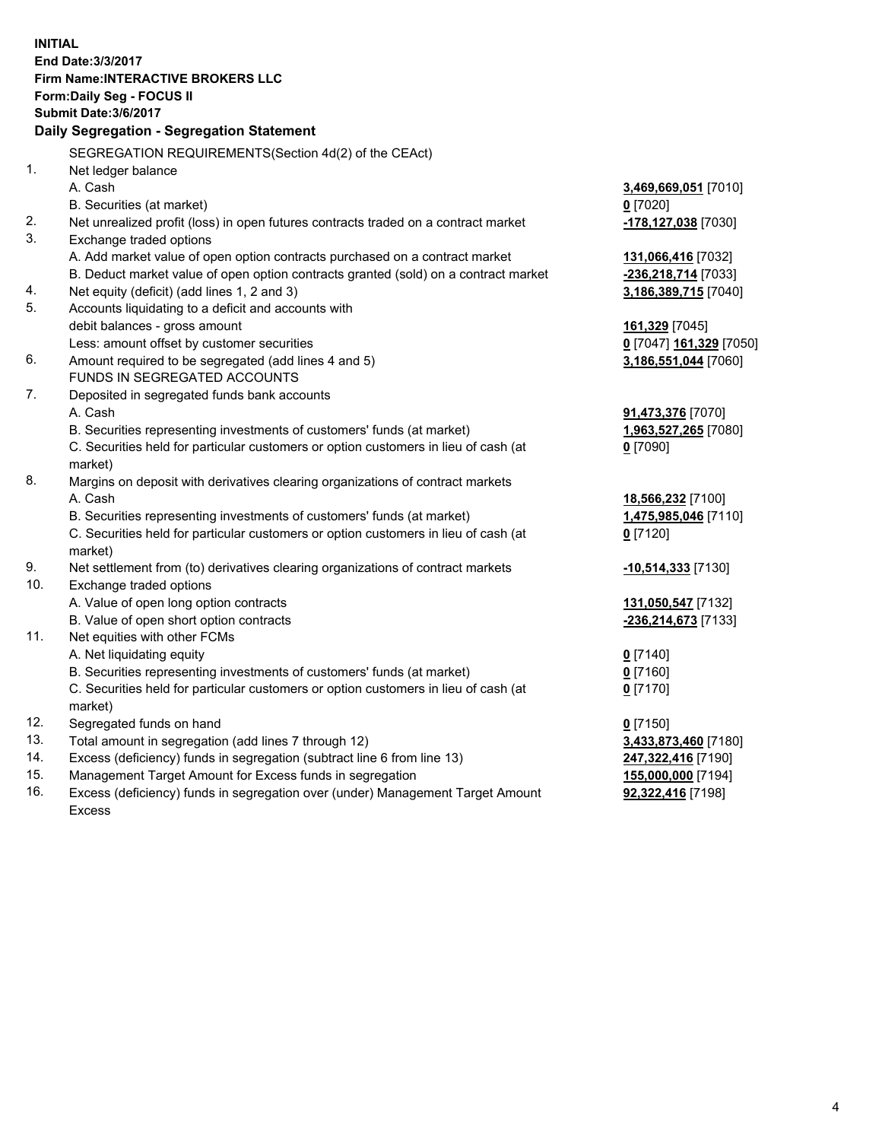**INITIAL End Date:3/3/2017 Firm Name:INTERACTIVE BROKERS LLC Form:Daily Seg - FOCUS II Submit Date:3/6/2017 Daily Segregation - Segregation Statement** SEGREGATION REQUIREMENTS(Section 4d(2) of the CEAct) 1. Net ledger balance A. Cash **3,469,669,051** [7010] B. Securities (at market) **0** [7020] 2. Net unrealized profit (loss) in open futures contracts traded on a contract market **-178,127,038** [7030] 3. Exchange traded options A. Add market value of open option contracts purchased on a contract market **131,066,416** [7032] B. Deduct market value of open option contracts granted (sold) on a contract market **-236,218,714** [7033] 4. Net equity (deficit) (add lines 1, 2 and 3) **3,186,389,715** [7040] 5. Accounts liquidating to a deficit and accounts with debit balances - gross amount **161,329** [7045] Less: amount offset by customer securities **0** [7047] **161,329** [7050] 6. Amount required to be segregated (add lines 4 and 5) **3,186,551,044** [7060] FUNDS IN SEGREGATED ACCOUNTS 7. Deposited in segregated funds bank accounts A. Cash **91,473,376** [7070] B. Securities representing investments of customers' funds (at market) **1,963,527,265** [7080] C. Securities held for particular customers or option customers in lieu of cash (at market) **0** [7090] 8. Margins on deposit with derivatives clearing organizations of contract markets A. Cash **18,566,232** [7100] B. Securities representing investments of customers' funds (at market) **1,475,985,046** [7110] C. Securities held for particular customers or option customers in lieu of cash (at market) **0** [7120] 9. Net settlement from (to) derivatives clearing organizations of contract markets **-10,514,333** [7130] 10. Exchange traded options A. Value of open long option contracts **131,050,547** [7132] B. Value of open short option contracts **-236,214,673** [7133] 11. Net equities with other FCMs A. Net liquidating equity **0** [7140] B. Securities representing investments of customers' funds (at market) **0** [7160] C. Securities held for particular customers or option customers in lieu of cash (at market) **0** [7170] 12. Segregated funds on hand **0** [7150] 13. Total amount in segregation (add lines 7 through 12) **3,433,873,460** [7180] 14. Excess (deficiency) funds in segregation (subtract line 6 from line 13) **247,322,416** [7190] 15. Management Target Amount for Excess funds in segregation **155,000,000** [7194] **92,322,416** [7198]

16. Excess (deficiency) funds in segregation over (under) Management Target Amount Excess